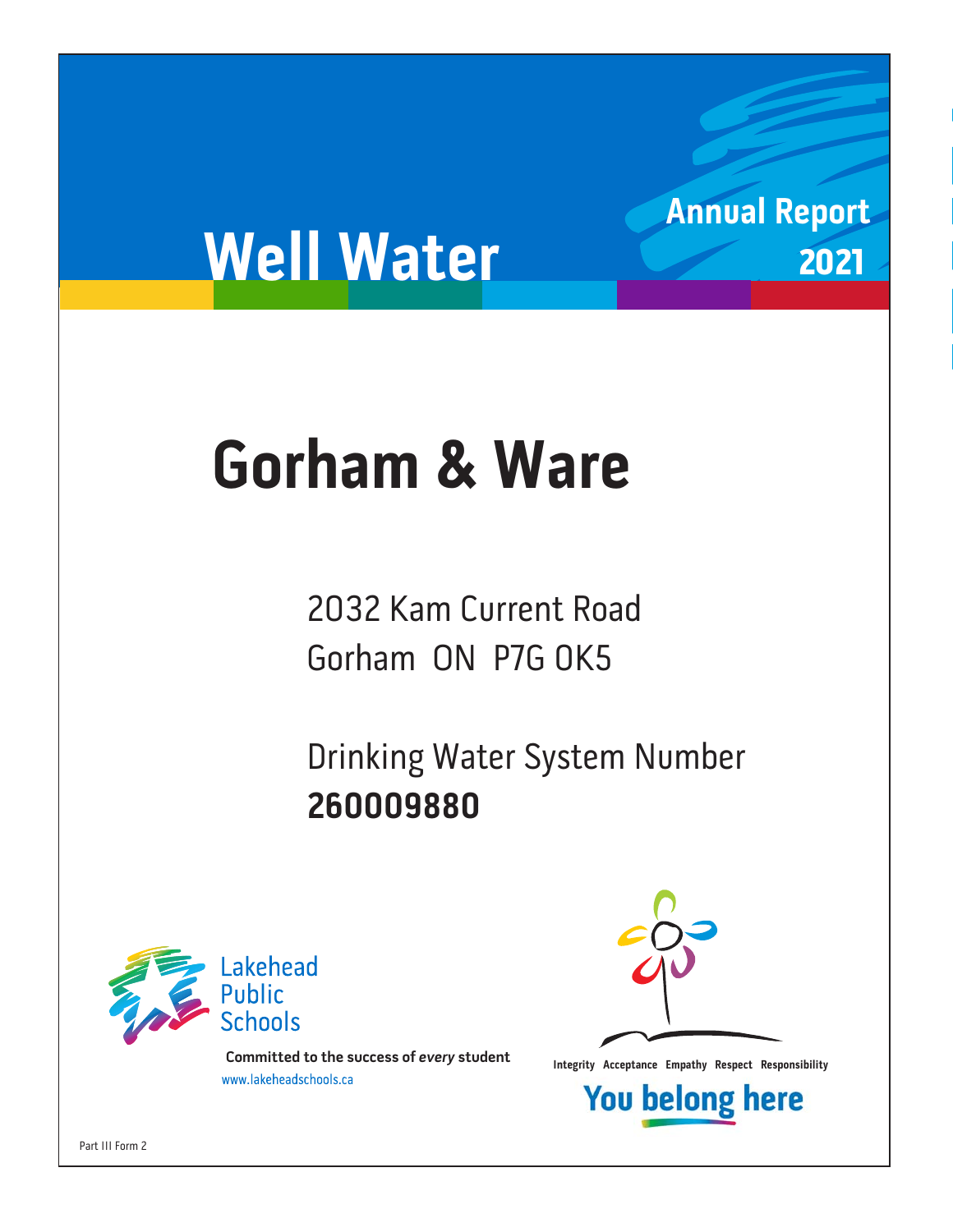# **Well Water**

# **Gorham & Ware Gorham & Ware**

2032 Kam Current Road Gorham ON P7G 0K5

Drinking Water System Number 260009880 **260009880**



**Integrity Acceptance Empathy Respect Responsibility integrity Acceptance Empathy Respect Responsibility Example 1** 



**Annual Report**

2021

**You belong here** 

Part III Form 2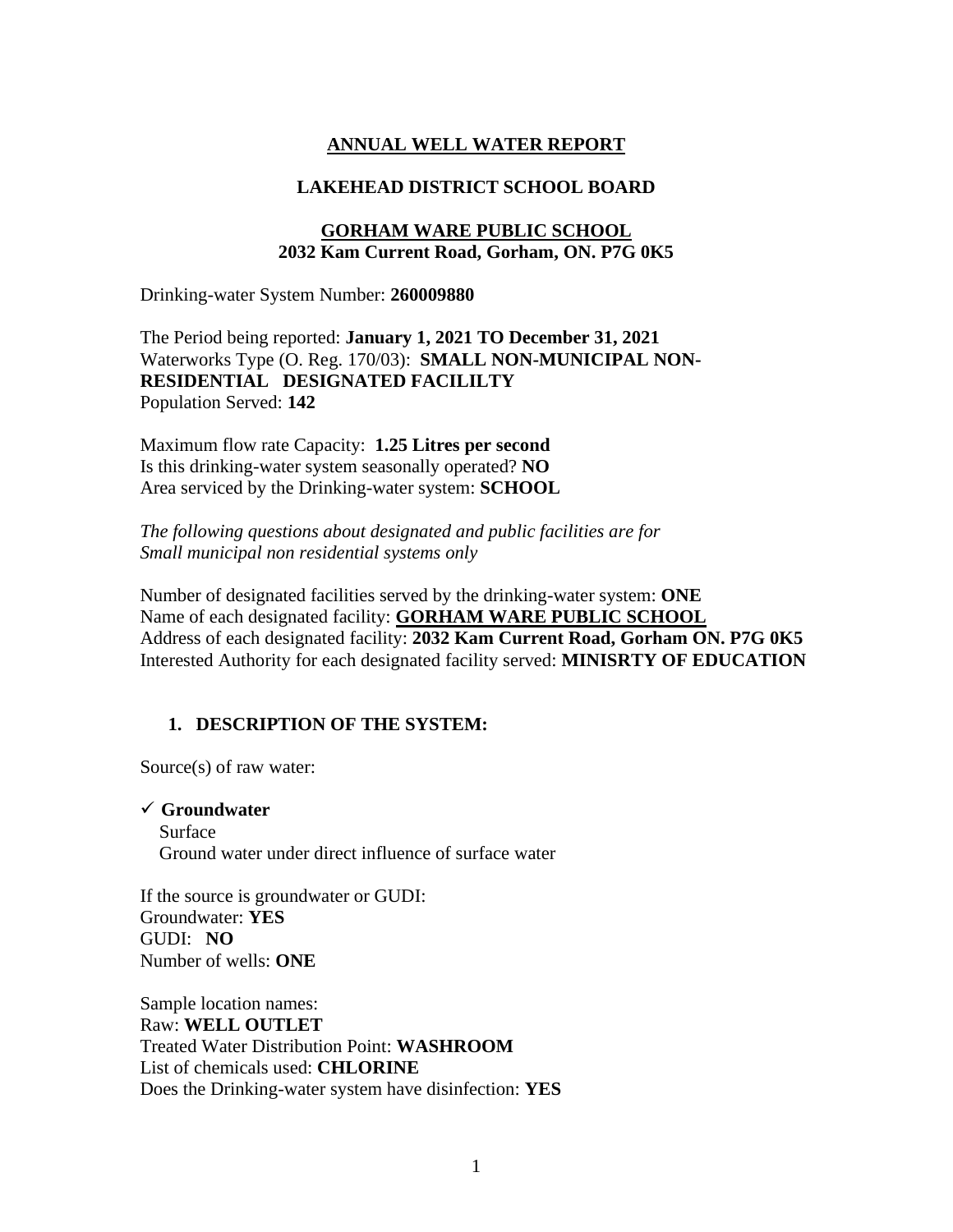### **ANNUAL WELL WATER REPORT**

#### **LAKEHEAD DISTRICT SCHOOL BOARD**

#### **GORHAM WARE PUBLIC SCHOOL 2032 Kam Current Road, Gorham, ON. P7G 0K5**

Drinking-water System Number: **260009880**

The Period being reported: **January 1, 2021 TO December 31, 2021** Waterworks Type (O. Reg. 170/03): **SMALL NON-MUNICIPAL NON-RESIDENTIAL DESIGNATED FACILILTY**  Population Served: **142**

Maximum flow rate Capacity: **1.25 Litres per second** Is this drinking-water system seasonally operated? **NO** Area serviced by the Drinking-water system: **SCHOOL**

*The following questions about designated and public facilities are for Small municipal non residential systems only* 

Number of designated facilities served by the drinking-water system: **ONE** Name of each designated facility: **GORHAM WARE PUBLIC SCHOOL** Address of each designated facility: **2032 Kam Current Road, Gorham ON. P7G 0K5** Interested Authority for each designated facility served: **MINISRTY OF EDUCATION**

#### **1. DESCRIPTION OF THE SYSTEM:**

Source(s) of raw water:

✓ **Groundwater**  Surface Ground water under direct influence of surface water

If the source is groundwater or GUDI: Groundwater: **YES** GUDI: **NO** Number of wells: **ONE**

Sample location names: Raw: **WELL OUTLET** Treated Water Distribution Point: **WASHROOM**  List of chemicals used: **CHLORINE** Does the Drinking-water system have disinfection: **YES**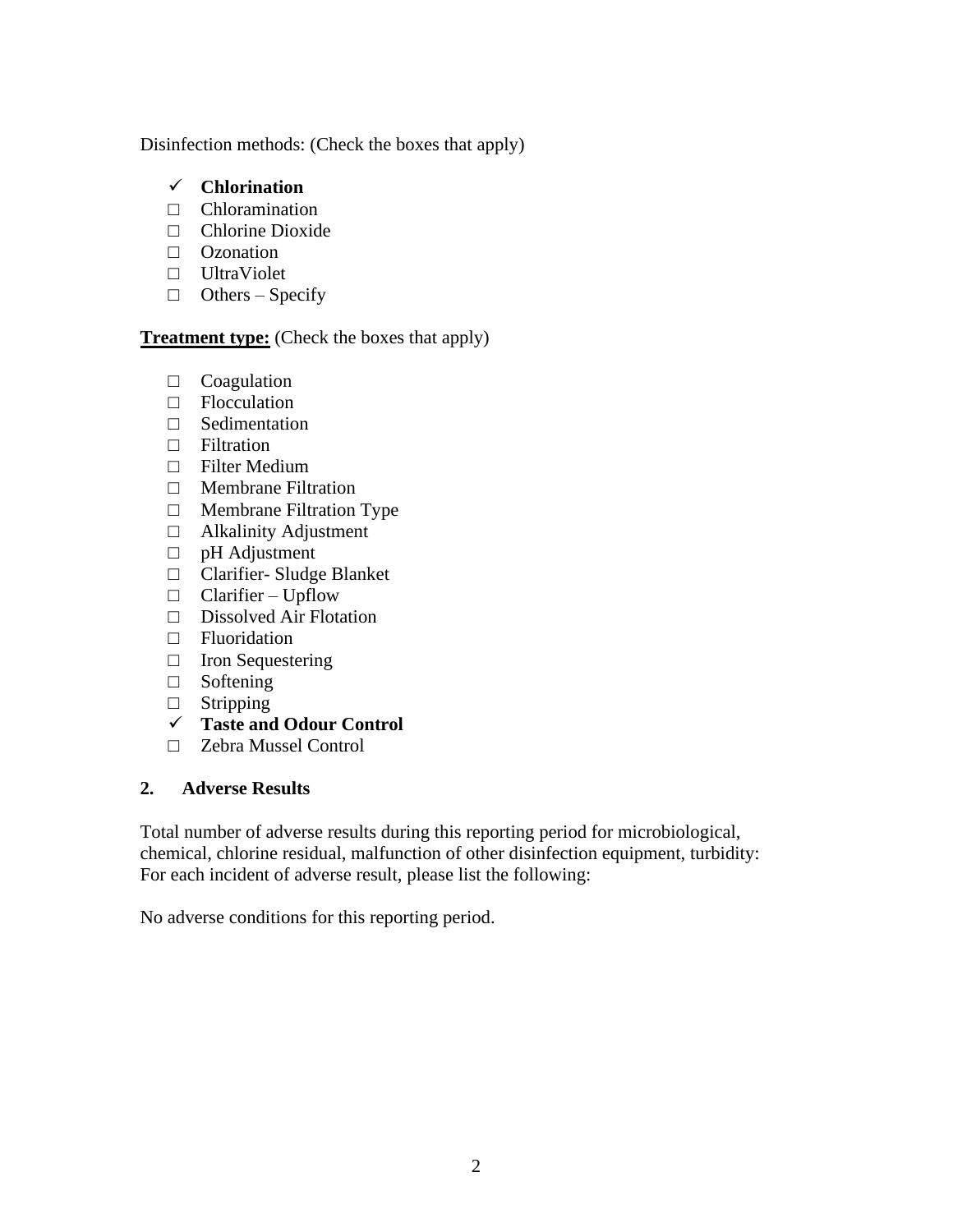Disinfection methods: (Check the boxes that apply)

# ✓ **Chlorination**

- $\Box$  Chloramination
- □ Chlorine Dioxide
- □ Ozonation
- □ UltraViolet
- $\Box$  Others Specify

# **Treatment type:** (Check the boxes that apply)

- □ Coagulation
- □ Flocculation
- □ Sedimentation
- □ Filtration
- □ Filter Medium
- □ Membrane Filtration
- □ Membrane Filtration Type
- □ Alkalinity Adjustment
- □ pH Adjustment
- □ Clarifier- Sludge Blanket
- $\Box$  Clarifier Upflow
- □ Dissolved Air Flotation
- □ Fluoridation
- □ Iron Sequestering
- □ Softening
- □ Stripping
- ✓ **Taste and Odour Control**
- □ Zebra Mussel Control

## **2. Adverse Results**

Total number of adverse results during this reporting period for microbiological, chemical, chlorine residual, malfunction of other disinfection equipment, turbidity: For each incident of adverse result, please list the following:

No adverse conditions for this reporting period.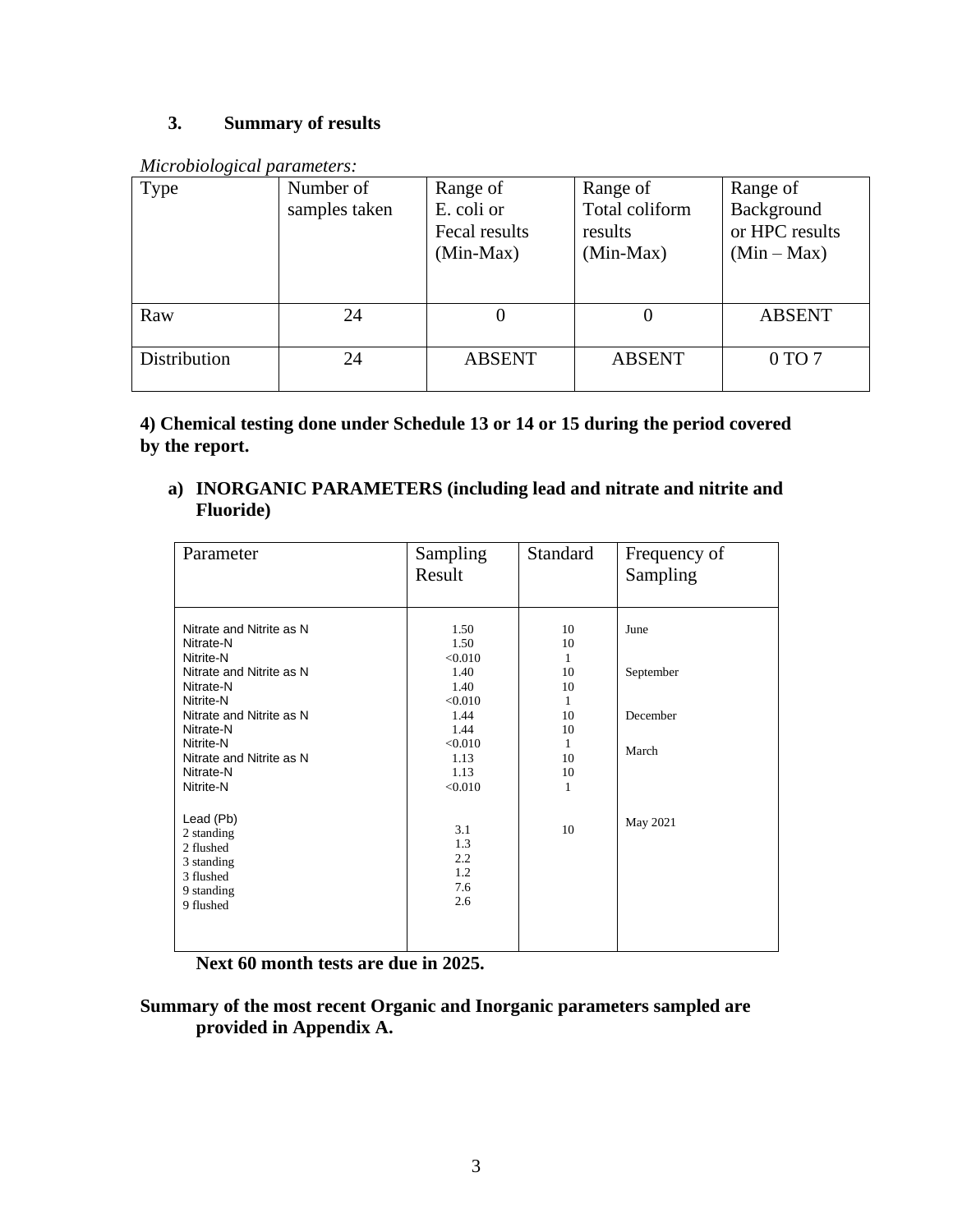# **3. Summary of results**

|  | Microbiological parameters: |
|--|-----------------------------|
|  |                             |

| Type         | Number of<br>samples taken | Range of<br>E. coli or<br>Fecal results<br>$(Min-Max)$ | Range of<br>Total coliform<br>results<br>$(Min-Max)$ | Range of<br>Background<br>or HPC results<br>$(Min-Max)$ |
|--------------|----------------------------|--------------------------------------------------------|------------------------------------------------------|---------------------------------------------------------|
| Raw          | 24                         |                                                        |                                                      | <b>ABSENT</b>                                           |
| Distribution | 24                         | <b>ABSENT</b>                                          | <b>ABSENT</b>                                        | $0 \text{ TO } 7$                                       |

**4) Chemical testing done under Schedule 13 or 14 or 15 during the period covered by the report.**

**a) INORGANIC PARAMETERS (including lead and nitrate and nitrite and Fluoride)** 

| Parameter                                                                                                                                                                                                            | Sampling<br>Result                                                                                       | Standard                                                         | Frequency of<br>Sampling               |
|----------------------------------------------------------------------------------------------------------------------------------------------------------------------------------------------------------------------|----------------------------------------------------------------------------------------------------------|------------------------------------------------------------------|----------------------------------------|
| Nitrate and Nitrite as N<br>Nitrate-N<br>Nitrite-N<br>Nitrate and Nitrite as N<br>Nitrate-N<br>Nitrite-N<br>Nitrate and Nitrite as N<br>Nitrate-N<br>Nitrite-N<br>Nitrate and Nitrite as N<br>Nitrate-N<br>Nitrite-N | 1.50<br>1.50<br>< 0.010<br>1.40<br>1.40<br>< 0.010<br>1.44<br>1.44<br>< 0.010<br>1.13<br>1.13<br>< 0.010 | 10<br>10<br>1<br>10<br>10<br>1<br>10<br>10<br>1<br>10<br>10<br>1 | June<br>September<br>December<br>March |
| Lead (Pb)<br>2 standing<br>2 flushed<br>3 standing<br>3 flushed<br>9 standing<br>9 flushed                                                                                                                           | 3.1<br>1.3<br>2.2<br>1.2<br>7.6<br>2.6                                                                   | 10                                                               | May 2021                               |

**Next 60 month tests are due in 2025.**

**Summary of the most recent Organic and Inorganic parameters sampled are provided in Appendix A.**